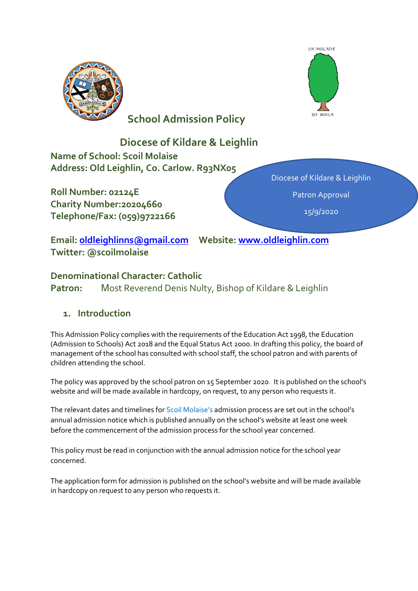

# **School Admission Policy**



# **Diocese of Kildare & Leighlin Name of School: Scoil Molaise Address: Old Leighlin, Co. Carlow. R93NX05**

**Roll Number: 02124E Charity Number:20204660 Telephone/Fax: (059)9722166**  Diocese of Kildare & Leighlin Patron Approval 15/9/2020

**Email: [oldleighlinns@gmail.com](mailto:oldleighlinns@gmail.com) Website: [www.oldleighlin.com](http://www.oldleighlin.com/) Twitter: @scoilmolaise**

### **Denominational Character: Catholic**

**Patron:** Most Reverend Denis Nulty, Bishop of Kildare & Leighlin

# **1. Introduction**

This Admission Policy complies with the requirements of the Education Act 1998, the Education (Admission to Schools) Act 2018 and the Equal Status Act 2000. In drafting this policy, the board of management of the school has consulted with school staff, the school patron and with parents of children attending the school.

The policy was approved by the school patron on 15 September 2020. It is published on the school's website and will be made available in hardcopy, on request, to any person who requests it.

The relevant dates and timelines for Scoil Molaise's admission process are set out in the school's annual admission notice which is published annually on the school's website at least one week before the commencement of the admission process for the school year concerned.

This policy must be read in conjunction with the annual admission notice for the school year concerned.

The application form for admission is published on the school's website and will be made available in hardcopy on request to any person who requests it.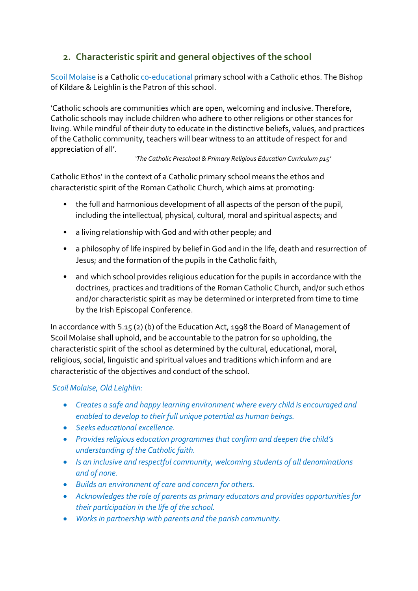# **2. Characteristic spirit and general objectives of the school**

Scoil Molaise is a Catholic co-educational primary school with a Catholic ethos. The Bishop of Kildare & Leighlin is the Patron of this school.

'Catholic schools are communities which are open, welcoming and inclusive. Therefore, Catholic schools may include children who adhere to other religions or other stances for living. While mindful of their duty to educate in the distinctive beliefs, values, and practices of the Catholic community, teachers will bear witness to an attitude of respect for and appreciation of all'.

### *'The Catholic Preschool & Primary Religious Education Curriculum p15'*

Catholic Ethos' in the context of a Catholic primary school means the ethos and characteristic spirit of the Roman Catholic Church, which aims at promoting:

- the full and harmonious development of all aspects of the person of the pupil, including the intellectual, physical, cultural, moral and spiritual aspects; and
- a living relationship with God and with other people; and
- a philosophy of life inspired by belief in God and in the life, death and resurrection of Jesus; and the formation of the pupils in the Catholic faith,
- and which school provides religious education for the pupils in accordance with the doctrines, practices and traditions of the Roman Catholic Church, and/or such ethos and/or characteristic spirit as may be determined or interpreted from time to time by the Irish Episcopal Conference.

In accordance with S.15 (2) (b) of the Education Act, 1998 the Board of Management of Scoil Molaise shall uphold, and be accountable to the patron for so upholding, the characteristic spirit of the school as determined by the cultural, educational, moral, religious, social, linguistic and spiritual values and traditions which inform and are characteristic of the objectives and conduct of the school.

### *Scoil Molaise, Old Leighlin:*

- *Creates a safe and happy learning environment where every child is encouraged and enabled to develop to their full unique potential as human beings.*
- *Seeks educational excellence.*
- *Provides religious education programmes that confirm and deepen the child's understanding of the Catholic faith.*
- *Is an inclusive and respectful community, welcoming students of all denominations and of none.*
- *Builds an environment of care and concern for others.*
- *Acknowledges the role of parents as primary educators and provides opportunities for their participation in the life of the school.*
- *Works in partnership with parents and the parish community.*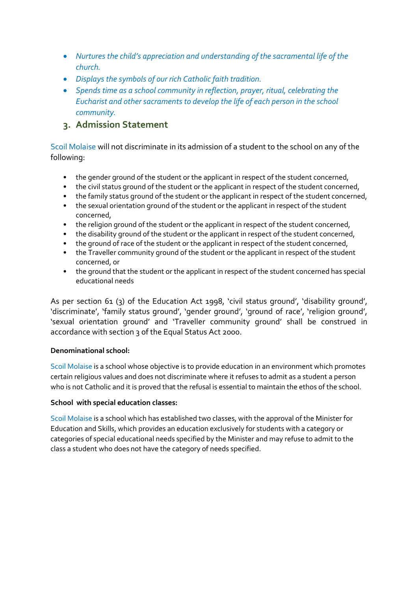- *Nurtures the child's appreciation and understanding of the sacramental life of the church.*
- *Displays the symbols of our rich Catholic faith tradition.*
- *Spends time as a school community in reflection, prayer, ritual, celebrating the Eucharist and other sacraments to develop the life of each person in the school community.*

### **3. Admission Statement**

Scoil Molaise will not discriminate in its admission of a student to the school on any of the following:

- the gender ground of the student or the applicant in respect of the student concerned,
- the civil status ground of the student or the applicant in respect of the student concerned,
- the family status ground of the student or the applicant in respect of the student concerned,
- the sexual orientation ground of the student or the applicant in respect of the student concerned,
- the religion ground of the student or the applicant in respect of the student concerned,
- the disability ground of the student or the applicant in respect of the student concerned,
- the ground of race of the student or the applicant in respect of the student concerned,
- the Traveller community ground of the student or the applicant in respect of the student concerned, or
- the ground that the student or the applicant in respect of the student concerned has special educational needs

As per section 61 (3) of the Education Act 1998, 'civil status ground', 'disability ground', 'discriminate', 'family status ground', 'gender ground', 'ground of race', 'religion ground', 'sexual orientation ground' and 'Traveller community ground' shall be construed in accordance with section 3 of the Equal Status Act 2000.

#### **Denominational school:**

Scoil Molaise is a school whose objective is to provide education in an environment which promotes certain religious values and does not discriminate where it refuses to admit as a student a person who is not Catholic and it is proved that the refusal is essential to maintain the ethos of the school.

#### **School with special education classes:**

Scoil Molaise is a school which has established two classes, with the approval of the Minister for Education and Skills, which provides an education exclusively for students with a category or categories of special educational needs specified by the Minister and may refuse to admit to the class a student who does not have the category of needs specified.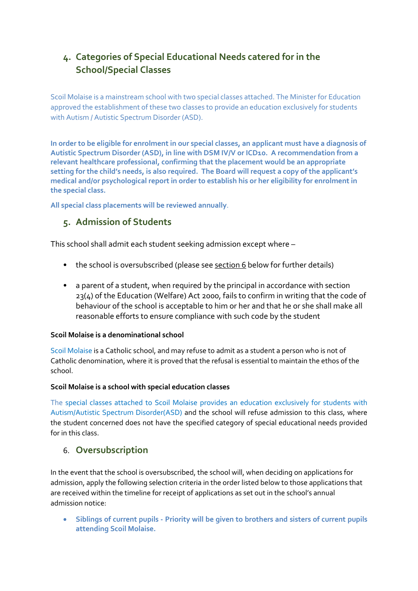# **4. Categories of Special Educational Needs catered for in the School/Special Classes**

Scoil Molaise is a mainstream school with two special classes attached. The Minister for Education approved the establishment of these two classes to provide an education exclusively for students with Autism / Autistic Spectrum Disorder (ASD).

**In order to be eligible for enrolment in our special classes, an applicant must have a diagnosis of Autistic Spectrum Disorder (ASD), in line with DSM IV/V or ICD10. A recommendation from a relevant healthcare professional, confirming that the placement would be an appropriate setting for the child's needs, is also required. The Board will request a copy of the applicant's medical and/or psychological report in order to establish his or her eligibility for enrolment in the special class.** 

**All special class placements will be reviewed annually**.

### **5. Admission of Students**

This school shall admit each student seeking admission except where –

- the school is oversubscribed (please see section 6 below for further details)
- a parent of a student, when required by the principal in accordance with section 23(4) of the Education (Welfare) Act 2000, fails to confirm in writing that the code of behaviour of the school is acceptable to him or her and that he or she shall make all reasonable efforts to ensure compliance with such code by the student

### **Scoil Molaise is a denominational school**

Scoil Molaise is a Catholic school, and may refuse to admit as a student a person who is not of Catholic denomination, where it is proved that the refusal is essential to maintain the ethos of the school.

### **Scoil Molaise is a school with special education classes**

The special classes attached to Scoil Molaise provides an education exclusively for students with Autism/Autistic Spectrum Disorder(ASD) and the school will refuse admission to this class, where the student concerned does not have the specified category of special educational needs provided for in this class.

### 6. **Oversubscription**

In the event that the school is oversubscribed, the school will, when deciding on applications for admission, apply the following selection criteria in the order listed below to those applications that are received within the timeline for receipt of applications as set out in the school's annual admission notice:

• **Siblings of current pupils - Priority will be given to brothers and sisters of current pupils attending Scoil Molaise.**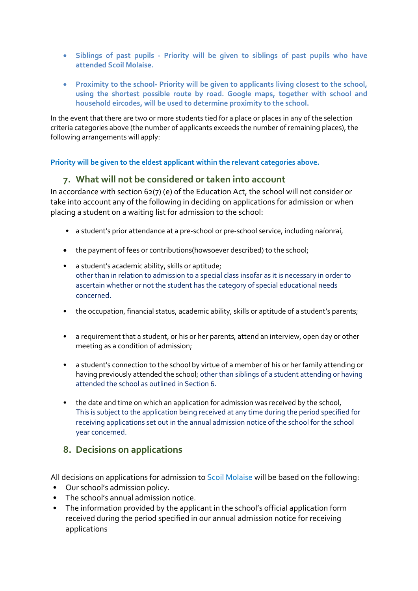- **Siblings of past pupils - Priority will be given to siblings of past pupils who have attended Scoil Molaise.**
- **Proximity to the school- Priority will be given to applicants living closest to the school, using the shortest possible route by road. Google maps, together with school and household eircodes, will be used to determine proximity to the school.**

In the event that there are two or more students tied for a place or places in any of the selection criteria categories above (the number of applicants exceeds the number of remaining places), the following arrangements will apply:

### **Priority will be given to the eldest applicant within the relevant categories above.**

### **7. What will not be considered or taken into account**

In accordance with section 62(7) (e) of the Education Act, the school will not consider or take into account any of the following in deciding on applications for admission or when placing a student on a waiting list for admission to the school:

- a student's prior attendance at a pre-school or pre-school service, including naíonraí,
- the payment of fees or contributions(howsoever described) to the school;
- a student's academic ability, skills or aptitude; other than in relation to admission to a special class insofar as it is necessary in order to ascertain whether or not the student has the category of special educational needs concerned.
- the occupation, financial status, academic ability, skills or aptitude of a student's parents;
- a requirement that a student, or his or her parents, attend an interview, open day or other meeting as a condition of admission;
- a student's connection to the school by virtue of a member of his or her family attending or having previously attended the school; other than siblings of a student attending or having attended the school as outlined in Section 6.
- the date and time on which an application for admission was received by the school, This is subject to the application being received at any time during the period specified for receiving applications set out in the annual admission notice of the school for the school year concerned.

### **8. Decisions on applications**

All decisions on applications for admission to Scoil Molaise will be based on the following:

- Our school's admission policy.
- The school's annual admission notice.
- The information provided by the applicant in the school's official application form received during the period specified in our annual admission notice for receiving applications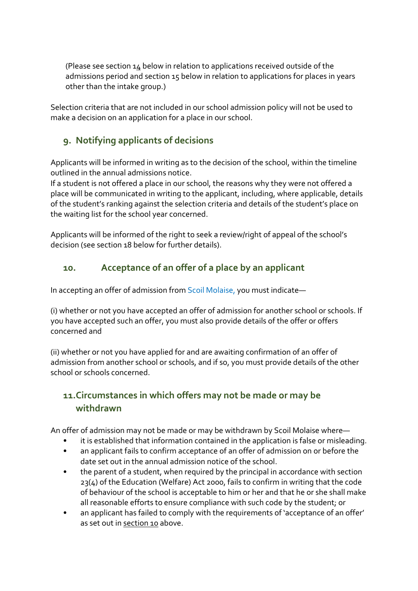(Please see section  $14$  below in relation to applications received outside of the admissions period and section 15 below in relation to applications for places in years other than the intake group.)

Selection criteria that are not included in our school admission policy will not be used to make a decision on an application for a place in our school.

# **9. Notifying applicants of decisions**

Applicants will be informed in writing as to the decision of the school, within the timeline outlined in the annual admissions notice.

If a student is not offered a place in our school, the reasons why they were not offered a place will be communicated in writing to the applicant, including, where applicable, details of the student's ranking against the selection criteria and details of the student's place on the waiting list for the school year concerned.

Applicants will be informed of the right to seek a review/right of appeal of the school's decision (see section 18 below for further details).

# **10. Acceptance of an offer of a place by an applicant**

In accepting an offer of admission from Scoil Molaise, you must indicate—

(i) whether or not you have accepted an offer of admission for another school or schools. If you have accepted such an offer, you must also provide details of the offer or offers concerned and

(ii) whether or not you have applied for and are awaiting confirmation of an offer of admission from another school or schools, and if so, you must provide details of the other school or schools concerned.

# **11.Circumstances in which offers may not be made or may be withdrawn**

An offer of admission may not be made or may be withdrawn by Scoil Molaise where—

- it is established that information contained in the application is false or misleading.
- an applicant fails to confirm acceptance of an offer of admission on or before the date set out in the annual admission notice of the school.
- the parent of a student, when required by the principal in accordance with section 23(4) of the Education (Welfare) Act 2000, fails to confirm in writing that the code of behaviour of the school is acceptable to him or her and that he or she shall make all reasonable efforts to ensure compliance with such code by the student; or
- an applicant has failed to comply with the requirements of 'acceptance of an offer' as set out in section 10 above.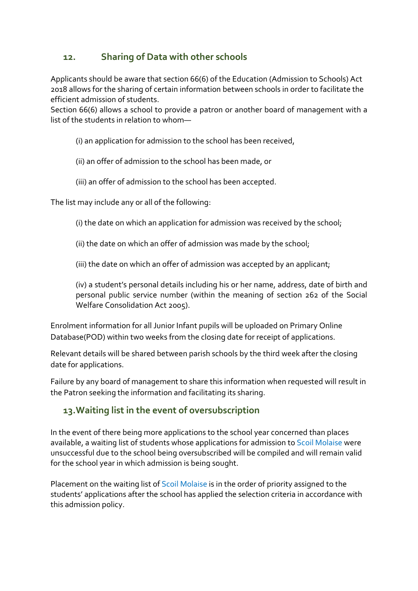### **12. Sharing of Data with other schools**

Applicants should be aware that section 66(6) of the Education (Admission to Schools) Act 2018 allows for the sharing of certain information between schools in order to facilitate the efficient admission of students.

Section 66(6) allows a school to provide a patron or another board of management with a list of the students in relation to whom—

(i) an application for admission to the school has been received,

(ii) an offer of admission to the school has been made, or

(iii) an offer of admission to the school has been accepted.

The list may include any or all of the following:

(i) the date on which an application for admission was received by the school;

(ii) the date on which an offer of admission was made by the school;

(iii) the date on which an offer of admission was accepted by an applicant;

(iv) a student's personal details including his or her name, address, date of birth and personal public service number (within the meaning of section 262 of the Social Welfare Consolidation Act 2005).

Enrolment information for all Junior Infant pupils will be uploaded on Primary Online Database(POD) within two weeks from the closing date for receipt of applications.

Relevant details will be shared between parish schools by the third week after the closing date for applications.

Failure by any board of management to share this information when requested will result in the Patron seeking the information and facilitating its sharing.

# **13.Waiting list in the event of oversubscription**

In the event of there being more applications to the school year concerned than places available, a waiting list of students whose applications for admission to Scoil Molaise were unsuccessful due to the school being oversubscribed will be compiled and will remain valid for the school year in which admission is being sought.

Placement on the waiting list of Scoil Molaise is in the order of priority assigned to the students' applications after the school has applied the selection criteria in accordance with this admission policy.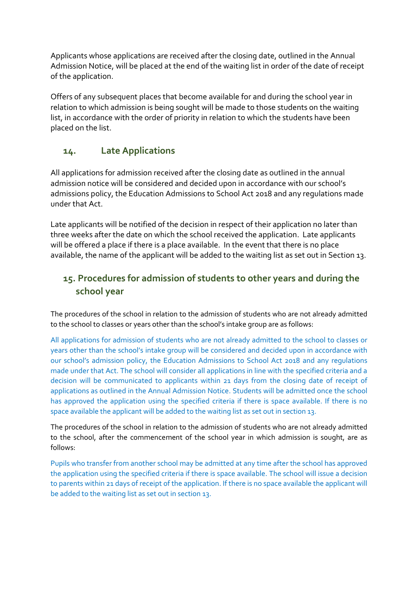Applicants whose applications are received after the closing date, outlined in the Annual Admission Notice, will be placed at the end of the waiting list in order of the date of receipt of the application.

Offers of any subsequent places that become available for and during the school year in relation to which admission is being sought will be made to those students on the waiting list, in accordance with the order of priority in relation to which the students have been placed on the list.

### **14. Late Applications**

All applications for admission received after the closing date as outlined in the annual admission notice will be considered and decided upon in accordance with our school's admissions policy, the Education Admissions to School Act 2018 and any regulations made under that Act.

Late applicants will be notified of the decision in respect of their application no later than three weeks after the date on which the school received the application. Late applicants will be offered a place if there is a place available. In the event that there is no place available, the name of the applicant will be added to the waiting list as set out in Section 13.

# **15. Procedures for admission of students to other years and during the school year**

The procedures of the school in relation to the admission of students who are not already admitted to the school to classes or years other than the school's intake group are as follows:

All applications for admission of students who are not already admitted to the school to classes or years other than the school's intake group will be considered and decided upon in accordance with our school's admission policy, the Education Admissions to School Act 2018 and any regulations made under that Act. The school will consider all applications in line with the specified criteria and a decision will be communicated to applicants within 21 days from the closing date of receipt of applications as outlined in the Annual Admission Notice. Students will be admitted once the school has approved the application using the specified criteria if there is space available. If there is no space available the applicant will be added to the waiting list as set out in section 13.

The procedures of the school in relation to the admission of students who are not already admitted to the school, after the commencement of the school year in which admission is sought, are as follows:

Pupils who transfer from another school may be admitted at any time after the school has approved the application using the specified criteria if there is space available. The school will issue a decision to parents within 21 days of receipt of the application. If there is no space available the applicant will be added to the waiting list as set out in section 13.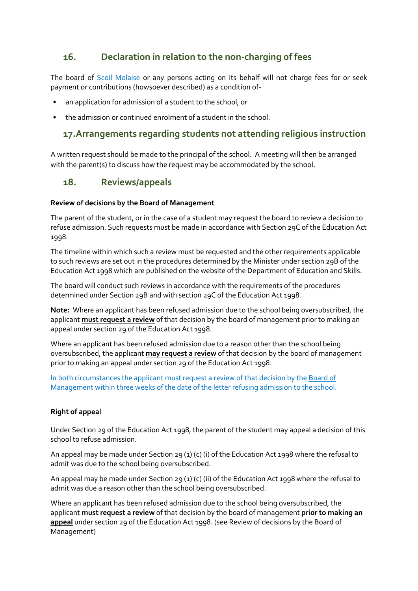### **16. Declaration in relation to the non-charging of fees**

The board of Scoil Molaise or any persons acting on its behalf will not charge fees for or seek payment or contributions (howsoever described) as a condition of-

- an application for admission of a student to the school, or
- the admission or continued enrolment of a student in the school.

### **17.Arrangements regarding students not attending religious instruction**

A written request should be made to the principal of the school. A meeting will then be arranged with the parent(s) to discuss how the request may be accommodated by the school.

### **18. Reviews/appeals**

#### **Review of decisions by the Board of Management**

The parent of the student, or in the case of a student may request the board to review a decision to refuse admission. Such requests must be made in accordance with Section 29C of the Education Act 1998.

The timeline within which such a review must be requested and the other requirements applicable to such reviews are set out in the procedures determined by the Minister under section 29B of the Education Act 1998 which are published on the website of the Department of Education and Skills.

The board will conduct such reviews in accordance with the requirements of the procedures determined under Section 29B and with section 29C of the Education Act 1998.

**Note:** Where an applicant has been refused admission due to the school being oversubscribed, the applicant **must request a review** of that decision by the board of management prior to making an appeal under section 29 of the Education Act 1998.

Where an applicant has been refused admission due to a reason other than the school being oversubscribed, the applicant **may request a review** of that decision by the board of management prior to making an appeal under section 29 of the Education Act 1998.

In both circumstances the applicant must request a review of that decision by the Board of Management within three weeks of the date of the letter refusing admission to the school.

### **Right of appeal**

Under Section 29 of the Education Act 1998, the parent of the student may appeal a decision of this school to refuse admission.

An appeal may be made under Section 29 (1) (c) (i) of the Education Act 1998 where the refusal to admit was due to the school being oversubscribed.

An appeal may be made under Section 29 (1) (c) (ii) of the Education Act 1998 where the refusal to admit was due a reason other than the school being oversubscribed.

Where an applicant has been refused admission due to the school being oversubscribed, the applicant **must request a review** of that decision by the board of management **prior to making an appeal** under section 29 of the Education Act 1998. (see Review of decisions by the Board of Management)